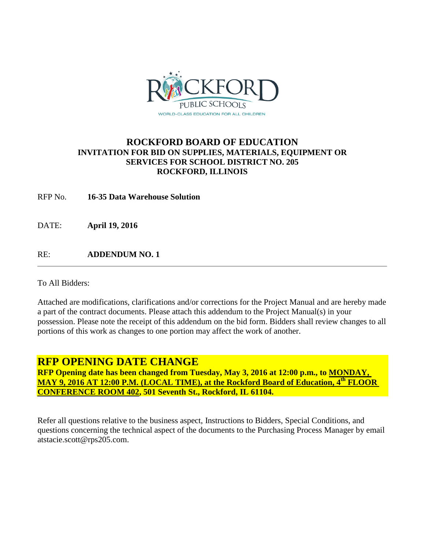

## **ROCKFORD BOARD OF EDUCATION INVITATION FOR BID ON SUPPLIES, MATERIALS, EQUIPMENT OR SERVICES FOR SCHOOL DISTRICT NO. 205 ROCKFORD, ILLINOIS**

RFP No. **16-35 Data Warehouse Solution**

DATE: **April 19, 2016**

RE: **ADDENDUM NO. 1**

To All Bidders:

Attached are modifications, clarifications and/or corrections for the Project Manual and are hereby made a part of the contract documents. Please attach this addendum to the Project Manual(s) in your possession. Please note the receipt of this addendum on the bid form. Bidders shall review changes to all portions of this work as changes to one portion may affect the work of another.

## **RFP OPENING DATE CHANGE**

**RFP Opening date has been changed from Tuesday, May 3, 2016 at 12:00 p.m., to MONDAY, MAY 9, 2016 AT 12:00 P.M. (LOCAL TIME), at the Rockford Board of Education, 4th FLOOR CONFERENCE ROOM 402, 501 Seventh St., Rockford, IL 61104.**

Refer all questions relative to the business aspect, Instructions to Bidders, Special Conditions, and questions concerning the technical aspect of the documents to the Purchasing Process Manager by email atstacie.scott@rps205.com.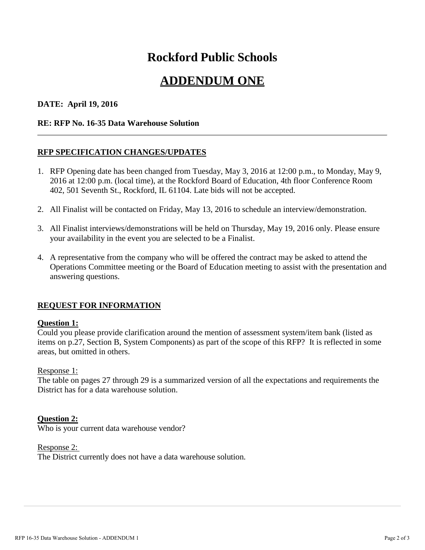# **Rockford Public Schools**

## **ADDENDUM ONE**

## **DATE: April 19, 2016**

#### **RE: RFP No. 16-35 Data Warehouse Solution**

## **RFP SPECIFICATION CHANGES/UPDATES**

- 1. RFP Opening date has been changed from Tuesday, May 3, 2016 at 12:00 p.m., to Monday, May 9, 2016 at 12:00 p.m. (local time), at the Rockford Board of Education, 4th floor Conference Room 402, 501 Seventh St., Rockford, IL 61104. Late bids will not be accepted.
- 2. All Finalist will be contacted on Friday, May 13, 2016 to schedule an interview/demonstration.
- 3. All Finalist interviews/demonstrations will be held on Thursday, May 19, 2016 only. Please ensure your availability in the event you are selected to be a Finalist.
- 4. A representative from the company who will be offered the contract may be asked to attend the Operations Committee meeting or the Board of Education meeting to assist with the presentation and answering questions.

## **REQUEST FOR INFORMATION**

## **Question 1:**

Could you please provide clarification around the mention of assessment system/item bank (listed as items on p.27, Section B, System Components) as part of the scope of this RFP? It is reflected in some areas, but omitted in others.

#### Response 1:

The table on pages 27 through 29 is a summarized version of all the expectations and requirements the District has for a data warehouse solution.

## **Question 2:**

Who is your current data warehouse vendor?

Response 2: The District currently does not have a data warehouse solution.